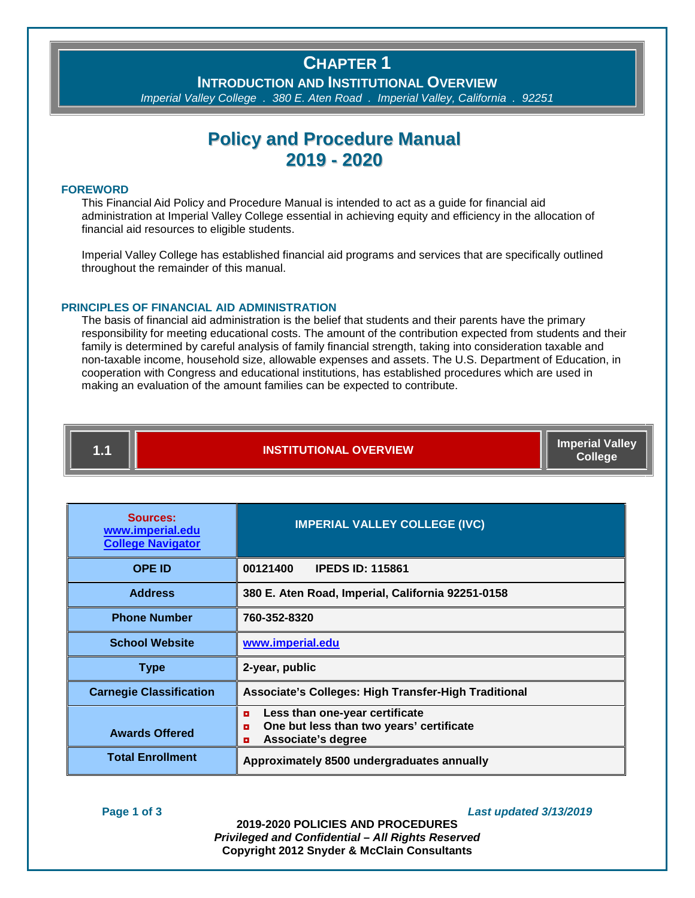### **CHAPTER 1**

**INTRODUCTION AND INSTITUTIONAL OVERVIEW**

*Imperial Valley College . 380 E. Aten Road . Imperial Valley, California . 92251*

### **Policy and Procedure Manual 2019 - 2020**

#### **FOREWORD**

This Financial Aid Policy and Procedure Manual is intended to act as a guide for financial aid administration at Imperial Valley College essential in achieving equity and efficiency in the allocation of financial aid resources to eligible students.

Imperial Valley College has established financial aid programs and services that are specifically outlined throughout the remainder of this manual.

#### **PRINCIPLES OF FINANCIAL AID ADMINISTRATION**

The basis of financial aid administration is the belief that students and their parents have the primary responsibility for meeting educational costs. The amount of the contribution expected from students and their family is determined by careful analysis of family financial strength, taking into consideration taxable and non-taxable income, household size, allowable expenses and assets. The U.S. Department of Education, in cooperation with Congress and educational institutions, has established procedures which are used in making an evaluation of the amount families can be expected to contribute.

## **1.1 INSTITUTIONAL OVERVIEW Imperial Valley**

**College**

| Sources:<br>www.imperial.edu<br><b>College Navigator</b> | <b>IMPERIAL VALLEY COLLEGE (IVC)</b>                                                                            |  |  |
|----------------------------------------------------------|-----------------------------------------------------------------------------------------------------------------|--|--|
| <b>OPE ID</b>                                            | <b>IPEDS ID: 115861</b><br>00121400                                                                             |  |  |
| <b>Address</b>                                           | 380 E. Aten Road, Imperial, California 92251-0158                                                               |  |  |
| <b>Phone Number</b>                                      | 760-352-8320                                                                                                    |  |  |
| <b>School Website</b>                                    | www.imperial.edu                                                                                                |  |  |
| <b>Type</b>                                              | 2-year, public                                                                                                  |  |  |
| <b>Carnegie Classification</b>                           | Associate's Colleges: High Transfer-High Traditional                                                            |  |  |
| <b>Awards Offered</b>                                    | Less than one-year certificate<br>o<br>One but less than two years' certificate<br>o<br>Associate's degree<br>o |  |  |
| <b>Total Enrollment</b>                                  | Approximately 8500 undergraduates annually                                                                      |  |  |

#### **Page 1 of 3** *Last updated 3/13/2019*

**2019-2020 POLICIES AND PROCEDURES** *Privileged and Confidential – All Rights Reserved* **Copyright 2012 Snyder & McClain Consultants**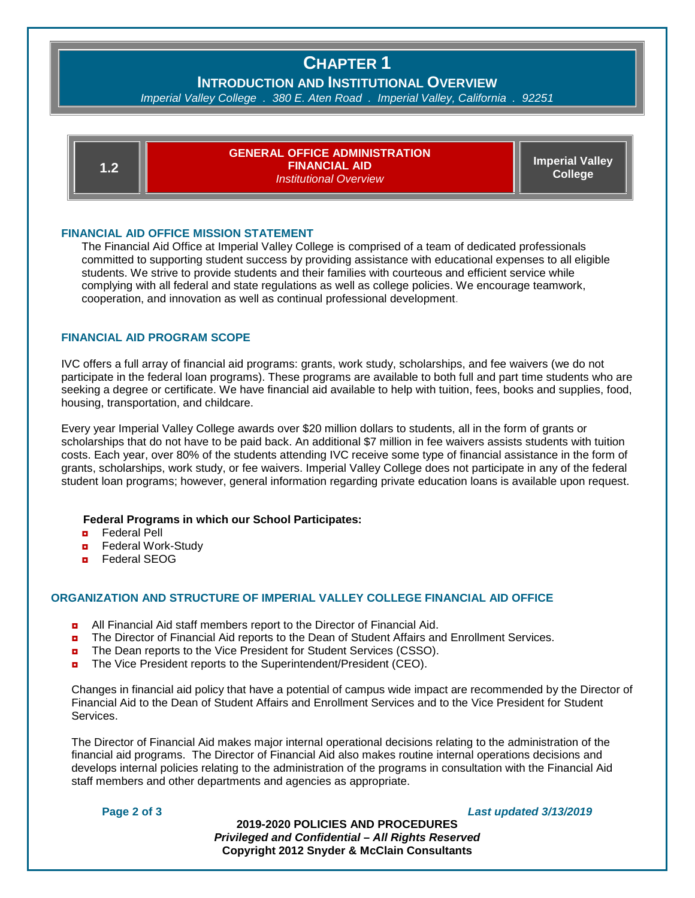# **CHAPTER 1**

**INTRODUCTION AND INSTITUTIONAL OVERVIEW**

*Imperial Valley College . 380 E. Aten Road . Imperial Valley, California . 92251*

| 1.2 | <b>GENERAL OFFICE ADMINISTRATION</b><br><b>FINANCIAL AID</b><br><b>Institutional Overview</b> | <b>Imperial Valley</b><br><b>College</b> |
|-----|-----------------------------------------------------------------------------------------------|------------------------------------------|
|-----|-----------------------------------------------------------------------------------------------|------------------------------------------|

#### **FINANCIAL AID OFFICE MISSION STATEMENT**

The Financial Aid Office at Imperial Valley College is comprised of a team of dedicated professionals committed to supporting student success by providing assistance with educational expenses to all eligible students. We strive to provide students and their families with courteous and efficient service while complying with all federal and state regulations as well as college policies. We encourage teamwork, cooperation, and innovation as well as continual professional development.

#### **FINANCIAL AID PROGRAM SCOPE**

IVC offers a full array of financial aid programs: grants, work study, scholarships, and fee waivers (we do not participate in the federal loan programs). These programs are available to both full and part time students who are seeking a degree or certificate. We have financial aid available to help with tuition, fees, books and supplies, food, housing, transportation, and childcare.

Every year Imperial Valley College awards over \$20 million dollars to students, all in the form of grants or scholarships that do not have to be paid back. An additional \$7 million in fee waivers assists students with tuition costs. Each year, over 80% of the students attending IVC receive some type of financial assistance in the form of grants, scholarships, work study, or fee waivers. Imperial Valley College does not participate in any of the federal student loan programs; however, general information regarding private education loans is available upon request.

#### **Federal Programs in which our School Participates:**

- ◘ Federal Pell
- **<u>n</u>** Federal Work-Study
- ◘ Federal SEOG

#### **ORGANIZATION AND STRUCTURE OF IMPERIAL VALLEY COLLEGE FINANCIAL AID OFFICE**

- ◘ All Financial Aid staff members report to the Director of Financial Aid.
- **n** The Director of Financial Aid reports to the Dean of Student Affairs and Enrollment Services.
- The Dean reports to the Vice President for Student Services (CSSO).
- ◘ The Vice President reports to the Superintendent/President (CEO).

Changes in financial aid policy that have a potential of campus wide impact are recommended by the Director of Financial Aid to the Dean of Student Affairs and Enrollment Services and to the Vice President for Student Services.

The Director of Financial Aid makes major internal operational decisions relating to the administration of the financial aid programs. The Director of Financial Aid also makes routine internal operations decisions and develops internal policies relating to the administration of the programs in consultation with the Financial Aid staff members and other departments and agencies as appropriate.

#### **Page 2 of 3** *Last updated 3/13/2019*

**2019-2020 POLICIES AND PROCEDURES** *Privileged and Confidential – All Rights Reserved* **Copyright 2012 Snyder & McClain Consultants**